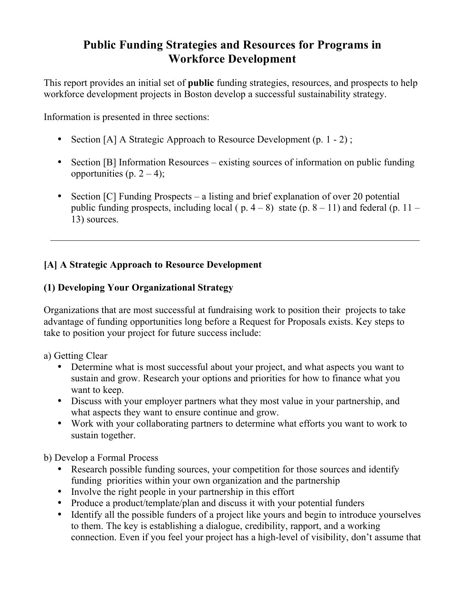# **Public Funding Strategies and Resources for Programs in Workforce Development**

This report provides an initial set of **public** funding strategies, resources, and prospects to help workforce development projects in Boston develop a successful sustainability strategy.

Information is presented in three sections:

- Section [A] A Strategic Approach to Resource Development (p. 1 2);
- Section [B] Information Resources existing sources of information on public funding opportunities (p.  $2 - 4$ );
- Section [C] Funding Prospects a listing and brief explanation of over 20 potential public funding prospects, including local ( $p. 4-8$ ) state ( $p. 8-11$ ) and federal ( $p. 11-$ 13) sources.

## **[A] A Strategic Approach to Resource Development**

### **(1) Developing Your Organizational Strategy**

Organizations that are most successful at fundraising work to position their projects to take advantage of funding opportunities long before a Request for Proposals exists. Key steps to take to position your project for future success include:

a) Getting Clear

- Determine what is most successful about your project, and what aspects you want to sustain and grow. Research your options and priorities for how to finance what you want to keep.
- Discuss with your employer partners what they most value in your partnership, and what aspects they want to ensure continue and grow.
- Work with your collaborating partners to determine what efforts you want to work to sustain together.

b) Develop a Formal Process

- Research possible funding sources, your competition for those sources and identify funding priorities within your own organization and the partnership
- Involve the right people in your partnership in this effort
- Produce a product/template/plan and discuss it with your potential funders
- Identify all the possible funders of a project like yours and begin to introduce yourselves to them. The key is establishing a dialogue, credibility, rapport, and a working connection. Even if you feel your project has a high-level of visibility, don't assume that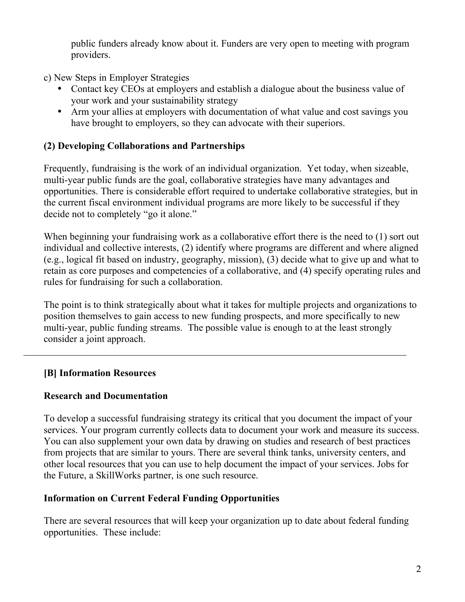public funders already know about it. Funders are very open to meeting with program providers.

- c) New Steps in Employer Strategies
	- Contact key CEOs at employers and establish a dialogue about the business value of your work and your sustainability strategy
	- Arm your allies at employers with documentation of what value and cost savings you have brought to employers, so they can advocate with their superiors.

# **(2) Developing Collaborations and Partnerships**

Frequently, fundraising is the work of an individual organization. Yet today, when sizeable, multi-year public funds are the goal, collaborative strategies have many advantages and opportunities. There is considerable effort required to undertake collaborative strategies, but in the current fiscal environment individual programs are more likely to be successful if they decide not to completely "go it alone."

When beginning your fundraising work as a collaborative effort there is the need to (1) sort out individual and collective interests, (2) identify where programs are different and where aligned (e.g., logical fit based on industry, geography, mission), (3) decide what to give up and what to retain as core purposes and competencies of a collaborative, and (4) specify operating rules and rules for fundraising for such a collaboration.

The point is to think strategically about what it takes for multiple projects and organizations to position themselves to gain access to new funding prospects, and more specifically to new multi-year, public funding streams. The possible value is enough to at the least strongly consider a joint approach.

# **[B] Information Resources**

# **Research and Documentation**

To develop a successful fundraising strategy its critical that you document the impact of your services. Your program currently collects data to document your work and measure its success. You can also supplement your own data by drawing on studies and research of best practices from projects that are similar to yours. There are several think tanks, university centers, and other local resources that you can use to help document the impact of your services. Jobs for the Future, a SkillWorks partner, is one such resource.

# **Information on Current Federal Funding Opportunities**

There are several resources that will keep your organization up to date about federal funding opportunities. These include: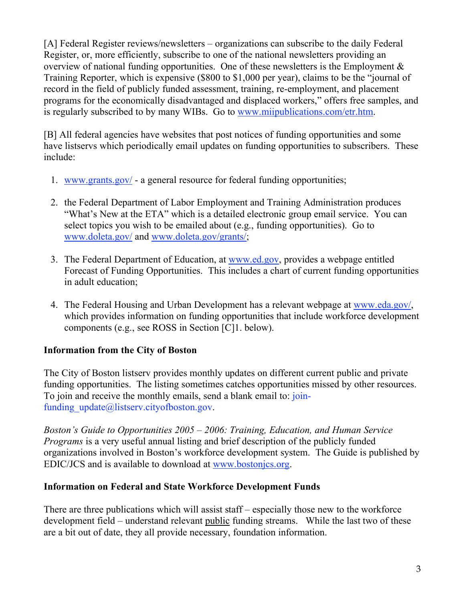[A] Federal Register reviews/newsletters – organizations can subscribe to the daily Federal Register, or, more efficiently, subscribe to one of the national newsletters providing an overview of national funding opportunities. One of these newsletters is the Employment  $\&$ Training Reporter, which is expensive (\$800 to \$1,000 per year), claims to be the "journal of record in the field of publicly funded assessment, training, re-employment, and placement programs for the economically disadvantaged and displaced workers," offers free samples, and is regularly subscribed to by many WIBs. Go to www.miipublications.com/etr.htm.

[B] All federal agencies have websites that post notices of funding opportunities and some have listservs which periodically email updates on funding opportunities to subscribers. These include:

- 1. www.grants.gov/ a general resource for federal funding opportunities;
- 2. the Federal Department of Labor Employment and Training Administration produces "What's New at the ETA" which is a detailed electronic group email service. You can select topics you wish to be emailed about (e.g., funding opportunities). Go to www.doleta.gov/ and www.doleta.gov/grants/;
- 3. The Federal Department of Education, at www.ed.gov, provides a webpage entitled Forecast of Funding Opportunities. This includes a chart of current funding opportunities in adult education;
- 4. The Federal Housing and Urban Development has a relevant webpage at www.eda.gov/, which provides information on funding opportunities that include workforce development components (e.g., see ROSS in Section [C]1. below).

### **Information from the City of Boston**

The City of Boston listserv provides monthly updates on different current public and private funding opportunities. The listing sometimes catches opportunities missed by other resources. To join and receive the monthly emails, send a blank email to: joinfunding  $update@listserv.cityofboston.gov$ .

*Boston's Guide to Opportunities 2005 – 2006: Training, Education, and Human Service Programs* is a very useful annual listing and brief description of the publicly funded organizations involved in Boston's workforce development system. The Guide is published by EDIC/JCS and is available to download at www.bostonjcs.org.

### **Information on Federal and State Workforce Development Funds**

There are three publications which will assist staff – especially those new to the workforce development field – understand relevant public funding streams. While the last two of these are a bit out of date, they all provide necessary, foundation information.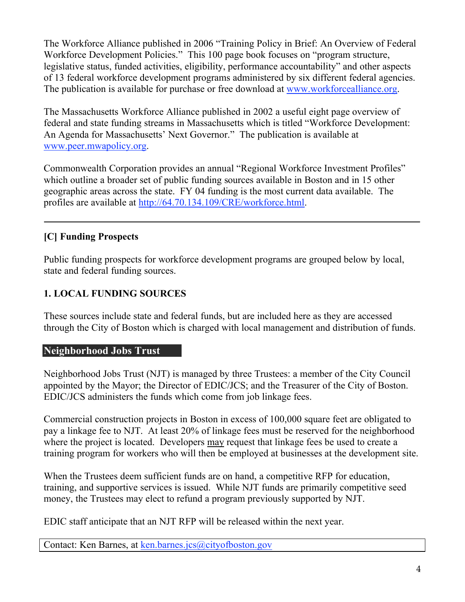The Workforce Alliance published in 2006 "Training Policy in Brief: An Overview of Federal Workforce Development Policies." This 100 page book focuses on "program structure, legislative status, funded activities, eligibility, performance accountability" and other aspects of 13 federal workforce development programs administered by six different federal agencies. The publication is available for purchase or free download at www.workforcealliance.org.

The Massachusetts Workforce Alliance published in 2002 a useful eight page overview of federal and state funding streams in Massachusetts which is titled "Workforce Development: An Agenda for Massachusetts' Next Governor." The publication is available at www.peer.mwapolicy.org.

Commonwealth Corporation provides an annual "Regional Workforce Investment Profiles" which outline a broader set of public funding sources available in Boston and in 15 other geographic areas across the state. FY 04 funding is the most current data available. The profiles are available at http://64.70.134.109/CRE/workforce.html.

# **[C] Funding Prospects**

Public funding prospects for workforce development programs are grouped below by local, state and federal funding sources.

## **1. LOCAL FUNDING SOURCES**

These sources include state and federal funds, but are included here as they are accessed through the City of Boston which is charged with local management and distribution of funds.

### **Neighborhood Jobs Trust**

Neighborhood Jobs Trust (NJT) is managed by three Trustees: a member of the City Council appointed by the Mayor; the Director of EDIC/JCS; and the Treasurer of the City of Boston. EDIC/JCS administers the funds which come from job linkage fees.

Commercial construction projects in Boston in excess of 100,000 square feet are obligated to pay a linkage fee to NJT. At least 20% of linkage fees must be reserved for the neighborhood where the project is located. Developers may request that linkage fees be used to create a training program for workers who will then be employed at businesses at the development site.

When the Trustees deem sufficient funds are on hand, a competitive RFP for education, training, and supportive services is issued. While NJT funds are primarily competitive seed money, the Trustees may elect to refund a program previously supported by NJT.

EDIC staff anticipate that an NJT RFP will be released within the next year.

Contact: Ken Barnes, at ken.barnes.jcs@cityofboston.gov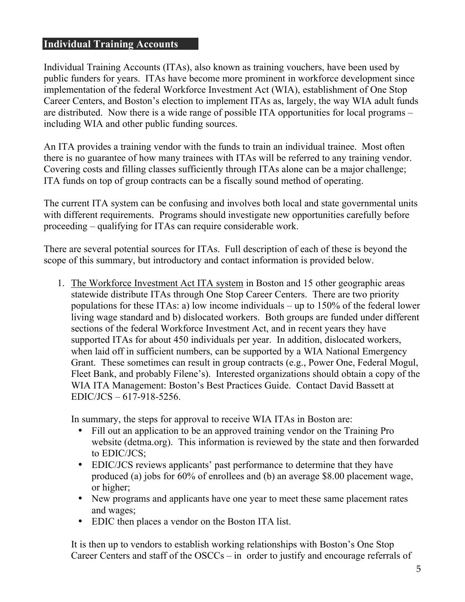#### **Individual Training Accounts**

Individual Training Accounts (ITAs), also known as training vouchers, have been used by public funders for years. ITAs have become more prominent in workforce development since implementation of the federal Workforce Investment Act (WIA), establishment of One Stop Career Centers, and Boston's election to implement ITAs as, largely, the way WIA adult funds are distributed. Now there is a wide range of possible ITA opportunities for local programs – including WIA and other public funding sources.

An ITA provides a training vendor with the funds to train an individual trainee. Most often there is no guarantee of how many trainees with ITAs will be referred to any training vendor. Covering costs and filling classes sufficiently through ITAs alone can be a major challenge; ITA funds on top of group contracts can be a fiscally sound method of operating.

The current ITA system can be confusing and involves both local and state governmental units with different requirements. Programs should investigate new opportunities carefully before proceeding – qualifying for ITAs can require considerable work.

There are several potential sources for ITAs. Full description of each of these is beyond the scope of this summary, but introductory and contact information is provided below.

1. The Workforce Investment Act ITA system in Boston and 15 other geographic areas statewide distribute ITAs through One Stop Career Centers. There are two priority populations for these ITAs: a) low income individuals – up to 150% of the federal lower living wage standard and b) dislocated workers. Both groups are funded under different sections of the federal Workforce Investment Act, and in recent years they have supported ITAs for about 450 individuals per year. In addition, dislocated workers, when laid off in sufficient numbers, can be supported by a WIA National Emergency Grant. These sometimes can result in group contracts (e.g., Power One, Federal Mogul, Fleet Bank, and probably Filene's). Interested organizations should obtain a copy of the WIA ITA Management: Boston's Best Practices Guide. Contact David Bassett at EDIC/JCS – 617-918-5256.

In summary, the steps for approval to receive WIA ITAs in Boston are:

- Fill out an application to be an approved training vendor on the Training Pro website (detma.org). This information is reviewed by the state and then forwarded to EDIC/JCS;
- EDIC/JCS reviews applicants' past performance to determine that they have produced (a) jobs for 60% of enrollees and (b) an average \$8.00 placement wage, or higher;
- New programs and applicants have one year to meet these same placement rates and wages;
- EDIC then places a vendor on the Boston ITA list.

It is then up to vendors to establish working relationships with Boston's One Stop Career Centers and staff of the OSCCs – in order to justify and encourage referrals of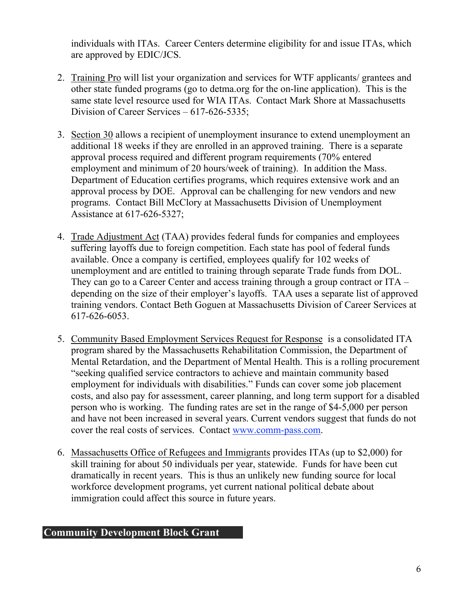individuals with ITAs. Career Centers determine eligibility for and issue ITAs, which are approved by EDIC/JCS.

- 2. Training Pro will list your organization and services for WTF applicants/ grantees and other state funded programs (go to detma.org for the on-line application). This is the same state level resource used for WIA ITAs. Contact Mark Shore at Massachusetts Division of Career Services – 617-626-5335;
- 3. Section 30 allows a recipient of unemployment insurance to extend unemployment an additional 18 weeks if they are enrolled in an approved training. There is a separate approval process required and different program requirements (70% entered employment and minimum of 20 hours/week of training). In addition the Mass. Department of Education certifies programs, which requires extensive work and an approval process by DOE. Approval can be challenging for new vendors and new programs. Contact Bill McClory at Massachusetts Division of Unemployment Assistance at 617-626-5327;
- 4. Trade Adjustment Act (TAA) provides federal funds for companies and employees suffering layoffs due to foreign competition. Each state has pool of federal funds available. Once a company is certified, employees qualify for 102 weeks of unemployment and are entitled to training through separate Trade funds from DOL. They can go to a Career Center and access training through a group contract or ITA – depending on the size of their employer's layoffs. TAA uses a separate list of approved training vendors. Contact Beth Goguen at Massachusetts Division of Career Services at 617-626-6053.
- 5. Community Based Employment Services Request for Response is a consolidated ITA program shared by the Massachusetts Rehabilitation Commission, the Department of Mental Retardation, and the Department of Mental Health. This is a rolling procurement "seeking qualified service contractors to achieve and maintain community based employment for individuals with disabilities." Funds can cover some job placement costs, and also pay for assessment, career planning, and long term support for a disabled person who is working. The funding rates are set in the range of \$4-5,000 per person and have not been increased in several years. Current vendors suggest that funds do not cover the real costs of services. Contact www.comm-pass.com.
- 6. Massachusetts Office of Refugees and Immigrants provides ITAs (up to \$2,000) for skill training for about 50 individuals per year, statewide. Funds for have been cut dramatically in recent years. This is thus an unlikely new funding source for local workforce development programs, yet current national political debate about immigration could affect this source in future years.

## **Community Development Block Grant**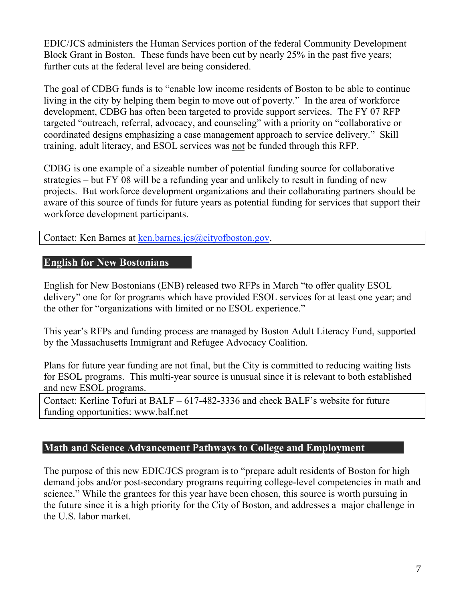EDIC/JCS administers the Human Services portion of the federal Community Development Block Grant in Boston. These funds have been cut by nearly 25% in the past five years; further cuts at the federal level are being considered.

The goal of CDBG funds is to "enable low income residents of Boston to be able to continue living in the city by helping them begin to move out of poverty." In the area of workforce development, CDBG has often been targeted to provide support services. The FY 07 RFP targeted "outreach, referral, advocacy, and counseling" with a priority on "collaborative or coordinated designs emphasizing a case management approach to service delivery." Skill training, adult literacy, and ESOL services was not be funded through this RFP.

CDBG is one example of a sizeable number of potential funding source for collaborative strategies – but FY 08 will be a refunding year and unlikely to result in funding of new projects. But workforce development organizations and their collaborating partners should be aware of this source of funds for future years as potential funding for services that support their workforce development participants.

Contact: Ken Barnes at ken.barnes.jcs@cityofboston.gov.

#### **English for New Bostonians**

English for New Bostonians (ENB) released two RFPs in March "to offer quality ESOL delivery" one for for programs which have provided ESOL services for at least one year; and the other for "organizations with limited or no ESOL experience."

This year's RFPs and funding process are managed by Boston Adult Literacy Fund, supported by the Massachusetts Immigrant and Refugee Advocacy Coalition.

Plans for future year funding are not final, but the City is committed to reducing waiting lists for ESOL programs. This multi-year source is unusual since it is relevant to both established and new ESOL programs.

Contact: Kerline Tofuri at BALF – 617-482-3336 and check BALF's website for future funding opportunities: www.balf.net

#### **Math and Science Advancement Pathways to College and Employment**

The purpose of this new EDIC/JCS program is to "prepare adult residents of Boston for high demand jobs and/or post-secondary programs requiring college-level competencies in math and science." While the grantees for this year have been chosen, this source is worth pursuing in the future since it is a high priority for the City of Boston, and addresses a major challenge in the U.S. labor market.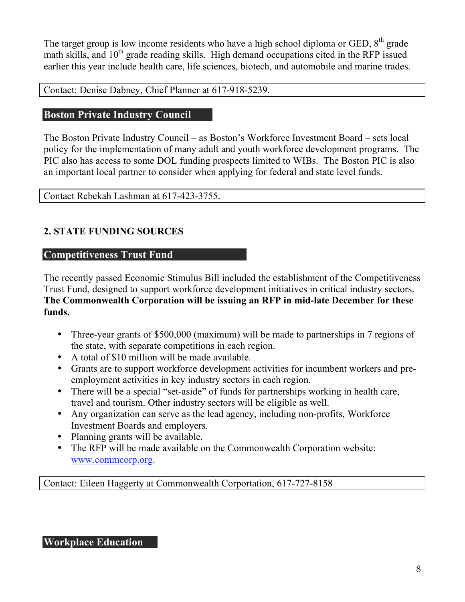The target group is low income residents who have a high school diploma or GED,  $8<sup>th</sup>$  grade math skills, and  $10<sup>th</sup>$  grade reading skills. High demand occupations cited in the RFP issued earlier this year include health care, life sciences, biotech, and automobile and marine trades.

Contact: Denise Dabney, Chief Planner at 617-918-5239.

## **Boston Private Industry Council**

The Boston Private Industry Council – as Boston's Workforce Investment Board – sets local policy for the implementation of many adult and youth workforce development programs. The PIC also has access to some DOL funding prospects limited to WIBs. The Boston PIC is also an important local partner to consider when applying for federal and state level funds.

Contact Rebekah Lashman at 617-423-3755.

## **2. STATE FUNDING SOURCES**

#### **Competitiveness Trust Fund**

The recently passed Economic Stimulus Bill included the establishment of the Competitiveness Trust Fund, designed to support workforce development initiatives in critical industry sectors. **The Commonwealth Corporation will be issuing an RFP in mid-late December for these funds.**

- Three-year grants of \$500,000 (maximum) will be made to partnerships in 7 regions of the state, with separate competitions in each region.
- A total of \$10 million will be made available.
- Grants are to support workforce development activities for incumbent workers and preemployment activities in key industry sectors in each region.
- There will be a special "set-aside" of funds for partnerships working in health care, travel and tourism. Other industry sectors will be eligible as well.
- Any organization can serve as the lead agency, including non-profits, Workforce Investment Boards and employers.
- Planning grants will be available.
- The RFP will be made available on the Commonwealth Corporation website: www.commcorp.org.

Contact: Eileen Haggerty at Commonwealth Corportation, 617-727-8158

### **Workplace Education**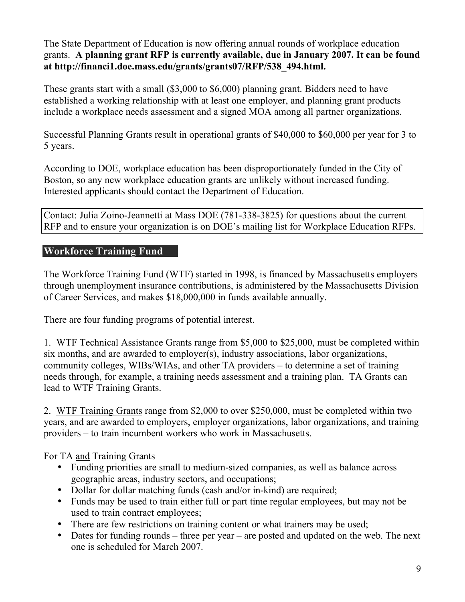The State Department of Education is now offering annual rounds of workplace education grants. **A planning grant RFP is currently available, due in January 2007. It can be found at http://financi1.doe.mass.edu/grants/grants07/RFP/538\_494.html.**

These grants start with a small (\$3,000 to \$6,000) planning grant. Bidders need to have established a working relationship with at least one employer, and planning grant products include a workplace needs assessment and a signed MOA among all partner organizations.

Successful Planning Grants result in operational grants of \$40,000 to \$60,000 per year for 3 to 5 years.

According to DOE, workplace education has been disproportionately funded in the City of Boston, so any new workplace education grants are unlikely without increased funding. Interested applicants should contact the Department of Education.

Contact: Julia Zoino-Jeannetti at Mass DOE (781-338-3825) for questions about the current RFP and to ensure your organization is on DOE's mailing list for Workplace Education RFPs.

### **Workforce Training Fund**

The Workforce Training Fund (WTF) started in 1998, is financed by Massachusetts employers through unemployment insurance contributions, is administered by the Massachusetts Division of Career Services, and makes \$18,000,000 in funds available annually.

There are four funding programs of potential interest.

1. WTF Technical Assistance Grants range from \$5,000 to \$25,000, must be completed within six months, and are awarded to employer(s), industry associations, labor organizations, community colleges, WIBs/WIAs, and other TA providers – to determine a set of training needs through, for example, a training needs assessment and a training plan. TA Grants can lead to WTF Training Grants.

2. WTF Training Grants range from \$2,000 to over \$250,000, must be completed within two years, and are awarded to employers, employer organizations, labor organizations, and training providers – to train incumbent workers who work in Massachusetts.

For TA and Training Grants

- Funding priorities are small to medium-sized companies, as well as balance across geographic areas, industry sectors, and occupations;
- Dollar for dollar matching funds (cash and/or in-kind) are required;
- Funds may be used to train either full or part time regular employees, but may not be used to train contract employees;
- There are few restrictions on training content or what trainers may be used;
- Dates for funding rounds three per year are posted and updated on the web. The next one is scheduled for March 2007.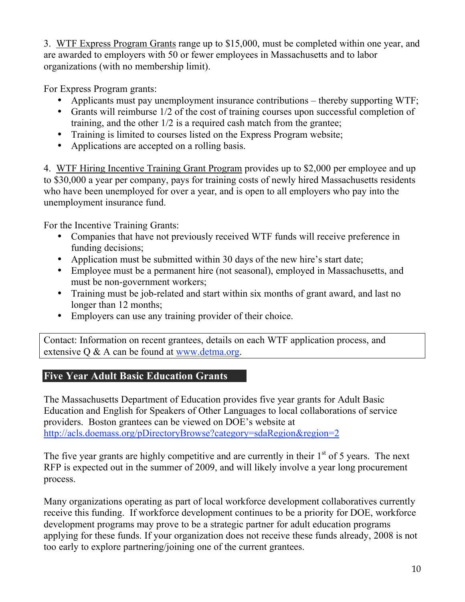3. WTF Express Program Grants range up to \$15,000, must be completed within one year, and are awarded to employers with 50 or fewer employees in Massachusetts and to labor organizations (with no membership limit).

For Express Program grants:

- Applicants must pay unemployment insurance contributions thereby supporting WTF;
- Grants will reimburse 1/2 of the cost of training courses upon successful completion of training, and the other 1/2 is a required cash match from the grantee;
- Training is limited to courses listed on the Express Program website;
- Applications are accepted on a rolling basis.

4. WTF Hiring Incentive Training Grant Program provides up to \$2,000 per employee and up to \$30,000 a year per company, pays for training costs of newly hired Massachusetts residents who have been unemployed for over a year, and is open to all employers who pay into the unemployment insurance fund.

For the Incentive Training Grants:

- Companies that have not previously received WTF funds will receive preference in funding decisions;
- Application must be submitted within 30 days of the new hire's start date;
- Employee must be a permanent hire (not seasonal), employed in Massachusetts, and must be non-government workers;
- Training must be job-related and start within six months of grant award, and last no longer than 12 months;
- Employers can use any training provider of their choice.

Contact: Information on recent grantees, details on each WTF application process, and extensive Q & A can be found at www.detma.org.

# **Five Year Adult Basic Education Grants**

The Massachusetts Department of Education provides five year grants for Adult Basic Education and English for Speakers of Other Languages to local collaborations of service providers. Boston grantees can be viewed on DOE's website at http://acls.doemass.org/pDirectoryBrowse?category=sdaRegion&region=2

The five year grants are highly competitive and are currently in their  $1<sup>st</sup>$  of 5 years. The next RFP is expected out in the summer of 2009, and will likely involve a year long procurement process.

Many organizations operating as part of local workforce development collaboratives currently receive this funding. If workforce development continues to be a priority for DOE, workforce development programs may prove to be a strategic partner for adult education programs applying for these funds. If your organization does not receive these funds already, 2008 is not too early to explore partnering/joining one of the current grantees.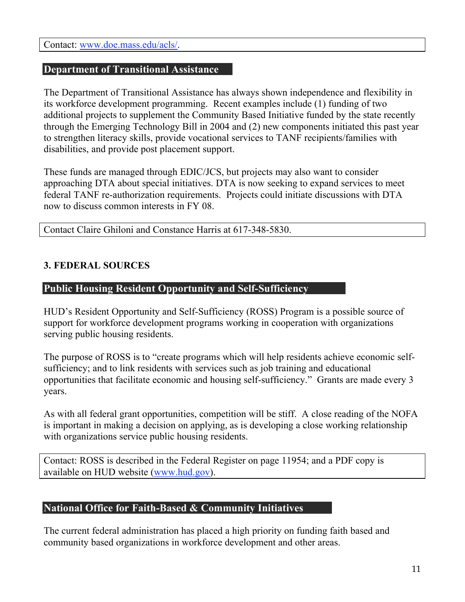Contact: www.doe.mass.edu/acls/.

#### **Department of Transitional Assistance**

The Department of Transitional Assistance has always shown independence and flexibility in its workforce development programming. Recent examples include (1) funding of two additional projects to supplement the Community Based Initiative funded by the state recently through the Emerging Technology Bill in 2004 and (2) new components initiated this past year to strengthen literacy skills, provide vocational services to TANF recipients/families with disabilities, and provide post placement support.

These funds are managed through EDIC/JCS, but projects may also want to consider approaching DTA about special initiatives. DTA is now seeking to expand services to meet federal TANF re-authorization requirements. Projects could initiate discussions with DTA now to discuss common interests in FY 08.

Contact Claire Ghiloni and Constance Harris at 617-348-5830.

#### **3. FEDERAL SOURCES**

#### **Public Housing Resident Opportunity and Self-Sufficiency**

HUD's Resident Opportunity and Self-Sufficiency (ROSS) Program is a possible source of support for workforce development programs working in cooperation with organizations serving public housing residents.

The purpose of ROSS is to "create programs which will help residents achieve economic selfsufficiency; and to link residents with services such as job training and educational opportunities that facilitate economic and housing self-sufficiency." Grants are made every 3 years.

As with all federal grant opportunities, competition will be stiff. A close reading of the NOFA is important in making a decision on applying, as is developing a close working relationship with organizations service public housing residents.

Contact: ROSS is described in the Federal Register on page 11954; and a PDF copy is available on HUD website (www.hud.gov).

#### **National Office for Faith-Based & Community Initiatives**

The current federal administration has placed a high priority on funding faith based and community based organizations in workforce development and other areas.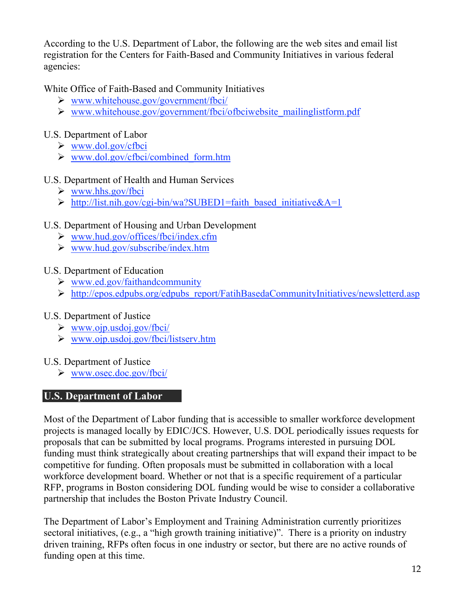According to the U.S. Department of Labor, the following are the web sites and email list registration for the Centers for Faith-Based and Community Initiatives in various federal agencies:

White Office of Faith-Based and Community Initiatives

- $\triangleright$  www.whitehouse.gov/government/fbci/
- $\triangleright$  www.whitehouse.gov/government/fbci/ofbciwebsite mailinglistform.pdf

# U.S. Department of Labor

- www.dol.gov/cfbci
- $\triangleright$  www.dol.gov/cfbci/combined form.htm

# U.S. Department of Health and Human Services

- $\triangleright$  www.hhs.gov/fbci
- $\triangleright$  http://list.nih.gov/cgi-bin/wa?SUBED1=faith based initiative&A=1

# U.S. Department of Housing and Urban Development

- $\triangleright$  www.hud.gov/offices/fbci/index.cfm
- $\triangleright$  www.hud.gov/subscribe/index.htm

# U.S. Department of Education

- $\triangleright$  www.ed.gov/faithandcommunity
- http://epos.edpubs.org/edpubs\_report/FatihBasedaCommunityInitiatives/newsletterd.asp

# U.S. Department of Justice

- $\triangleright$  www.ojp.usdoj.gov/fbci/
- $\triangleright$  www.ojp.usdoj.gov/fbci/listserv.htm

### U.S. Department of Justice

www.osec.doc.gov/fbci/

# **U.S. Department of Labor**

Most of the Department of Labor funding that is accessible to smaller workforce development projects is managed locally by EDIC/JCS. However, U.S. DOL periodically issues requests for proposals that can be submitted by local programs. Programs interested in pursuing DOL funding must think strategically about creating partnerships that will expand their impact to be competitive for funding. Often proposals must be submitted in collaboration with a local workforce development board. Whether or not that is a specific requirement of a particular RFP, programs in Boston considering DOL funding would be wise to consider a collaborative partnership that includes the Boston Private Industry Council.

The Department of Labor's Employment and Training Administration currently prioritizes sectoral initiatives, (e.g., a "high growth training initiative)". There is a priority on industry driven training, RFPs often focus in one industry or sector, but there are no active rounds of funding open at this time.